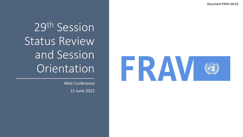Document FRAV -29 -03

29th Session Status Review and Session Orientation

> Web Conference 15 June 2022

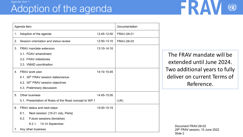### Agenda item 1 Adoption of the agenda

| Agenda item |                                                                                                                                                                |                   | <b>Documentation</b> |
|-------------|----------------------------------------------------------------------------------------------------------------------------------------------------------------|-------------------|----------------------|
| 1.          | Adoption of the agenda                                                                                                                                         | <b>FRAV-29-01</b> |                      |
| 2.          | Session orientation and status review                                                                                                                          | 12:50-13:10       | <b>FRAV-29-03</b>    |
| 3.          | <b>FRAV</b> mandate extension<br>3.1. FDAV amendment<br>3.2. FRAV milestones<br>3.3. VMAD coordination                                                         | 13:10-14:10       |                      |
| 4.          | FRAV work plan<br>4.1. 30 <sup>th</sup> FRAV session dates/venue<br>4.2. 30 <sup>th</sup> FRAV session objectives<br>4.3. Preliminary discussion               | 14:10-15:45       |                      |
| 5.          | <b>Other business</b><br>5.1. Presentation of Rules of the Road concept to WP.1                                                                                | (UK)              |                      |
| 6.<br>7.    | FRAV status and next steps<br>6.1.<br>Next session: [19-21 July, Paris]<br>6.2.<br>Future sessions (tentative)<br>6.2.1. 13-14 September<br>Any other business | 15:00-15:15       |                      |

The FRAV mandate will be extended until June 2024. Two additional years to fully deliver on current Terms of Reference.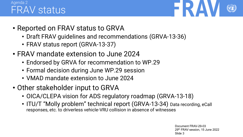### Agenda 2 FRAV status



- Reported on FRAV status to GRVA
	- Draft FRAV guidelines and recommendations (GRVA-13-36)
	- FRAV status report (GRVA-13-37)
- FRAV mandate extension to June 2024
	- Endorsed by GRVA for recommendation to WP.29
	- Formal decision during June WP.29 session
	- VMAD mandate extension to June 2024
- Other stakeholder input to GRVA
	- OICA/CLEPA vision for ADS regulatory roadmap (GRVA-13-18)
	- ITU/T "Molly problem" technical report (GRVA-13-34) Data recording, eCall responses, etc. to driverless vehicle-VRU collision in absence of witnesses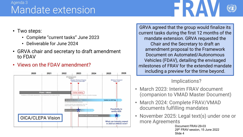## Agenda 3 Mandate extension

- Two steps:
	- Complete "current tasks" June 2023
	- Deliverable for June 2024
- GRVA chair and secretary to draft amendment to FDAV
- Views on the FDAV amendment?



GRVA agreed that the group would finalize its current tasks during the first 12 months of the mandate extension. GRVA requested the Chair and the Secretary to draft an amendment proposal to the Framework Document on Automated/Autonomous Vehicles (FDAV), detailing the envisaged milestones of FRAV for the extended mandate including a preview for the time beyond.

#### Implications?

- March 2023: Interim FRAV document (companion to VMAD Master Document)
- March 2024: Complete FRAV/VMAD documents fulfilling mandates
- November 2025: Legal text(s) under one or more Agreements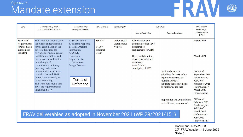## Agenda 3 Mandate extension

|--|

| Title                                                                   | Description of work /<br>ECE/TRANS/WP.29/2019/2                                                                                                                                                                                                                                                                                                                                                                                                                                          | Corresponding<br>principles/elements                                                                                                                                               | Allocation to                             | Main targets                          | <b>Activities</b>                                                                                                                                                                         |                                                                                                                                                          | Deliverable/<br>Deadline for                                                                                                                                             |
|-------------------------------------------------------------------------|------------------------------------------------------------------------------------------------------------------------------------------------------------------------------------------------------------------------------------------------------------------------------------------------------------------------------------------------------------------------------------------------------------------------------------------------------------------------------------------|------------------------------------------------------------------------------------------------------------------------------------------------------------------------------------|-------------------------------------------|---------------------------------------|-------------------------------------------------------------------------------------------------------------------------------------------------------------------------------------------|----------------------------------------------------------------------------------------------------------------------------------------------------------|--------------------------------------------------------------------------------------------------------------------------------------------------------------------------|
|                                                                         |                                                                                                                                                                                                                                                                                                                                                                                                                                                                                          |                                                                                                                                                                                    |                                           |                                       | <b>Current</b> activities                                                                                                                                                                 | <b>Future Activities</b>                                                                                                                                 | submission to<br><b>WP29</b>                                                                                                                                             |
| Functional<br>Requirements<br>for automated/<br>autonomous<br>vehicles) | This work item should cover<br>the functional requirements<br>for the combination of the<br>different functions for<br>driving: longitudinal control<br>(acceleration, braking and<br>road speed), lateral control<br>(lane discipline),<br>environment monitoring<br>(headway, side, rear),<br>minimum risk manoeuvre,<br>transition demand, HMI<br>(internal and external) and<br>driver monitoring.<br>This work item should also<br>cover the requirements for<br>Functional Safety. | a. System safety<br>b. Failsafe Response<br>c. HMI /Operator<br>information<br>d. OEDR<br>(Functional<br>Requirements)<br>e. Operational<br>Design Domain<br>Terms of<br>Reference | GRVA/<br><b>FRAV</b><br>informal<br>group | Automated /<br>Autonomous<br>vehicles | Identification and<br>definition of high-level<br>performance<br>requirements for ADS<br>High-level definition<br>of safety of ADS and<br>mandatory<br>manufacturer<br>description of ADS | Draft initial WP.29<br>guidelines for ADS safety<br>requirements based on<br>"current activities"<br>including the requirements<br>on motorway use case. | March 2021<br>March 2021<br>GRVA of<br>September 2021<br>for delivery to<br>WP.29 of<br>November 2021<br>(information)/<br>March 2022<br>(endorsement)<br><b>GRVA</b> of |
|                                                                         |                                                                                                                                                                                                                                                                                                                                                                                                                                                                                          |                                                                                                                                                                                    |                                           |                                       |                                                                                                                                                                                           | Proposal for WP.29 guidelines<br>on ADS safety requirements                                                                                              | February 2022<br>for delivery to<br>WP.29 of                                                                                                                             |
|                                                                         | FRAV deliverables as adopted in November 2021 (WP.29/2021/151)                                                                                                                                                                                                                                                                                                                                                                                                                           |                                                                                                                                                                                    |                                           |                                       |                                                                                                                                                                                           |                                                                                                                                                          | March 2022<br>$(information)$ /<br><b>June 2022</b><br>(endorsement)                                                                                                     |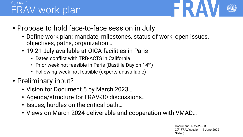# Agenda 4 FRAV work plan



- Propose to hold face-to-face session in July
	- Define work plan: mandate, milestones, status of work, open issues, objectives, paths, organization…
	- 19-21 July available at OICA facilities in Paris
		- Dates conflict with TRB-ACTS in California
		- Prior week not feasible in Paris (Bastille Day on 14<sup>th</sup>)
		- Following week not feasible (experts unavailable)
- Preliminary input?
	- Vision for Document 5 by March 2023…
	- Agenda/structure for FRAV-30 discussions…
	- Issues, hurdles on the critical path…
	- Views on March 2024 deliverable and cooperation with VMAD…